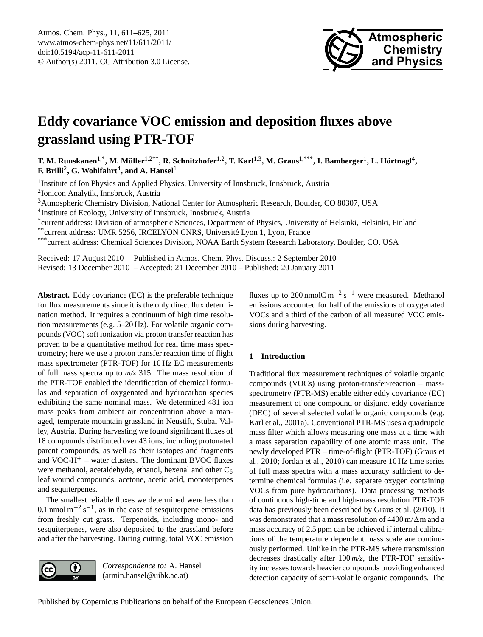

# <span id="page-0-0"></span>**Eddy covariance VOC emission and deposition fluxes above grassland using PTR-TOF**

 $\bf{T.~M.~Ruuskanen^{1,*}, M.~Müller^{1,2**}, R.~Schnitzhofer^{1,2}, T.~Karl^{1,3}, M.~Graus^{1,***}, I.~Bamberger^{1}, L.~Hörtnagl^{4},$ **F.** Brilli<sup>2</sup>, G. Wohlfahrt<sup>4</sup>, and A. Hansel<sup>1</sup>

<sup>1</sup> Institute of Ion Physics and Applied Physics, University of Innsbruck, Innsbruck, Austria 2 Ionicon Analytik, Innsbruck, Austria

<sup>3</sup>Atmospheric Chemistry Division, National Center for Atmospheric Research, Boulder, CO 80307, USA

4 Institute of Ecology, University of Innsbruck, Innsbruck, Austria

\* current address: Division of atmospheric Sciences, Department of Physics, University of Helsinki, Helsinki, Finland

\*\*current address: UMR 5256, IRCELYON CNRS, Universite Lyon 1, Lyon, France ´

\*\*\*current address: Chemical Sciences Division, NOAA Earth System Research Laboratory, Boulder, CO, USA

Received: 17 August 2010 – Published in Atmos. Chem. Phys. Discuss.: 2 September 2010 Revised: 13 December 2010 – Accepted: 21 December 2010 – Published: 20 January 2011

**Abstract.** Eddy covariance (EC) is the preferable technique for flux measurements since it is the only direct flux determination method. It requires a continuum of high time resolution measurements (e.g. 5–20 Hz). For volatile organic compounds (VOC) soft ionization via proton transfer reaction has proven to be a quantitative method for real time mass spectrometry; here we use a proton transfer reaction time of flight mass spectrometer (PTR-TOF) for 10 Hz EC measurements of full mass spectra up to *m/z* 315. The mass resolution of the PTR-TOF enabled the identification of chemical formulas and separation of oxygenated and hydrocarbon species exhibiting the same nominal mass. We determined 481 ion mass peaks from ambient air concentration above a managed, temperate mountain grassland in Neustift, Stubai Valley, Austria. During harvesting we found significant fluxes of 18 compounds distributed over 43 ions, including protonated parent compounds, as well as their isotopes and fragments and VOC- $H^+$  – water clusters. The dominant BVOC fluxes were methanol, acetaldehyde, ethanol, hexenal and other C<sub>6</sub> leaf wound compounds, acetone, acetic acid, monoterpenes and sequiterpenes.

The smallest reliable fluxes we determined were less than 0.1 nmol m<sup>-2</sup> s<sup>-1</sup>, as in the case of sesquiterpene emissions from freshly cut grass. Terpenoids, including mono- and sesquiterpenes, were also deposited to the grassland before and after the harvesting. During cutting, total VOC emission



*Correspondence to:* A. Hansel (armin.hansel@uibk.ac.at)

fluxes up to 200 nmolC  $m^{-2} s^{-1}$  were measured. Methanol emissions accounted for half of the emissions of oxygenated VOCs and a third of the carbon of all measured VOC emissions during harvesting.

# **1 Introduction**

Traditional flux measurement techniques of volatile organic compounds (VOCs) using proton-transfer-reaction – massspectrometry (PTR-MS) enable either eddy covariance (EC) measurement of one compound or disjunct eddy covariance (DEC) of several selected volatile organic compounds (e.g. Karl et al., 2001a). Conventional PTR-MS uses a quadrupole mass filter which allows measuring one mass at a time with a mass separation capability of one atomic mass unit. The newly developed PTR – time-of-flight (PTR-TOF) (Graus et al., 2010; Jordan et al., 2010) can measure 10 Hz time series of full mass spectra with a mass accuracy sufficient to determine chemical formulas (i.e. separate oxygen containing VOCs from pure hydrocarbons). Data processing methods of continuous high-time and high-mass resolution PTR-TOF data has previously been described by Graus et al. (2010). It was demonstrated that a mass resolution of  $4400$  m/ $\Delta$ m and a mass accuracy of 2.5 ppm can be achieved if internal calibrations of the temperature dependent mass scale are continuously performed. Unlike in the PTR-MS where transmission decreases drastically after 100 *m/z*, the PTR-TOF sensitivity increases towards heavier compounds providing enhanced detection capacity of semi-volatile organic compounds. The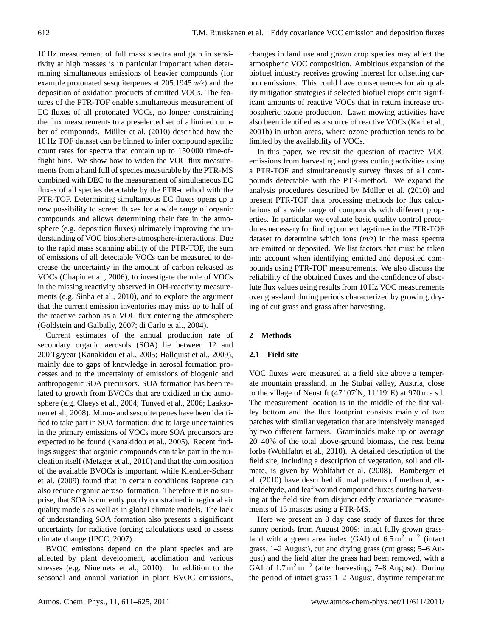10 Hz measurement of full mass spectra and gain in sensitivity at high masses is in particular important when determining simultaneous emissions of heavier compounds (for example protonated sesquiterpenes at 205.1945 *m/z*) and the deposition of oxidation products of emitted VOCs. The features of the PTR-TOF enable simultaneous measurement of EC fluxes of all protonated VOCs, no longer constraining the flux measurements to a preselected set of a limited number of compounds. Müller et al. (2010) described how the 10 Hz TOF dataset can be binned to infer compound specific count rates for spectra that contain up to 150 000 time-offlight bins. We show how to widen the VOC flux measurements from a hand full of species measurable by the PTR-MS combined with DEC to the measurement of simultaneous EC fluxes of all species detectable by the PTR-method with the PTR-TOF. Determining simultaneous EC fluxes opens up a new possibility to screen fluxes for a wide range of organic compounds and allows determining their fate in the atmosphere (e.g. deposition fluxes) ultimately improving the understanding of VOC biosphere-atmosphere-interactions. Due to the rapid mass scanning ability of the PTR-TOF, the sum of emissions of all detectable VOCs can be measured to decrease the uncertainty in the amount of carbon released as VOCs (Chapin et al., 2006), to investigate the role of VOCs in the missing reactivity observed in OH-reactivity measurements (e.g. Sinha et al., 2010), and to explore the argument that the current emission inventories may miss up to half of the reactive carbon as a VOC flux entering the atmosphere (Goldstein and Galbally, 2007; di Carlo et al., 2004).

Current estimates of the annual production rate of secondary organic aerosols (SOA) lie between 12 and 200 Tg/year (Kanakidou et al., 2005; Hallquist et al., 2009), mainly due to gaps of knowledge in aerosol formation processes and to the uncertainty of emissions of biogenic and anthropogenic SOA precursors. SOA formation has been related to growth from BVOCs that are oxidized in the atmosphere (e.g. Claeys et al., 2004; Tunved et al., 2006; Laaksonen et al., 2008). Mono- and sesquiterpenes have been identified to take part in SOA formation; due to large uncertainties in the primary emissions of VOCs more SOA precursors are expected to be found (Kanakidou et al., 2005). Recent findings suggest that organic compounds can take part in the nucleation itself (Metzger et al., 2010) and that the composition of the available BVOCs is important, while Kiendler-Scharr et al. (2009) found that in certain conditions isoprene can also reduce organic aerosol formation. Therefore it is no surprise, that SOA is currently poorly constrained in regional air quality models as well as in global climate models. The lack of understanding SOA formation also presents a significant uncertainty for radiative forcing calculations used to assess climate change (IPCC, 2007).

BVOC emissions depend on the plant species and are affected by plant development, acclimation and various stresses (e.g. Ninemets et al., 2010). In addition to the seasonal and annual variation in plant BVOC emissions, changes in land use and grown crop species may affect the atmospheric VOC composition. Ambitious expansion of the biofuel industry receives growing interest for offsetting carbon emissions. This could have consequences for air quality mitigation strategies if selected biofuel crops emit significant amounts of reactive VOCs that in return increase tropospheric ozone production. Lawn mowing activities have also been identified as a source of reactive VOCs (Karl et al., 2001b) in urban areas, where ozone production tends to be limited by the availability of VOCs.

In this paper, we revisit the question of reactive VOC emissions from harvesting and grass cutting activities using a PTR-TOF and simultaneously survey fluxes of all compounds detectable with the PTR-method. We expand the analysis procedures described by Müller et al. (2010) and present PTR-TOF data processing methods for flux calculations of a wide range of compounds with different properties. In particular we evaluate basic quality control procedures necessary for finding correct lag-times in the PTR-TOF dataset to determine which ions (*m/z*) in the mass spectra are emitted or deposited. We list factors that must be taken into account when identifying emitted and deposited compounds using PTR-TOF measurements. We also discuss the reliability of the obtained fluxes and the confidence of absolute flux values using results from 10 Hz VOC measurements over grassland during periods characterized by growing, drying of cut grass and grass after harvesting.

## **2 Methods**

## **2.1 Field site**

VOC fluxes were measured at a field site above a temperate mountain grassland, in the Stubai valley, Austria, close to the village of Neustift (47° 07′N,  $11^{\circ}19'$ E) at 970 m a.s.l. The measurement location is in the middle of the flat valley bottom and the flux footprint consists mainly of two patches with similar vegetation that are intensively managed by two different farmers. Graminoids make up on average 20–40% of the total above-ground biomass, the rest being forbs (Wohlfahrt et al., 2010). A detailed description of the field site, including a description of vegetation, soil and climate, is given by Wohlfahrt et al. (2008). Bamberger et al. (2010) have described diurnal patterns of methanol, acetaldehyde, and leaf wound compound fluxes during harvesting at the field site from disjunct eddy covariance measurements of 15 masses using a PTR-MS.

Here we present an 8 day case study of fluxes for three sunny periods from August 2009: intact fully grown grassland with a green area index (GAI) of  $6.5 \text{ m}^2 \text{ m}^{-2}$  (intact grass, 1–2 August), cut and drying grass (cut grass; 5–6 August) and the field after the grass had been removed, with a GAI of  $1.7 \text{ m}^2 \text{ m}^{-2}$  (after harvesting; 7–8 August). During the period of intact grass 1–2 August, daytime temperature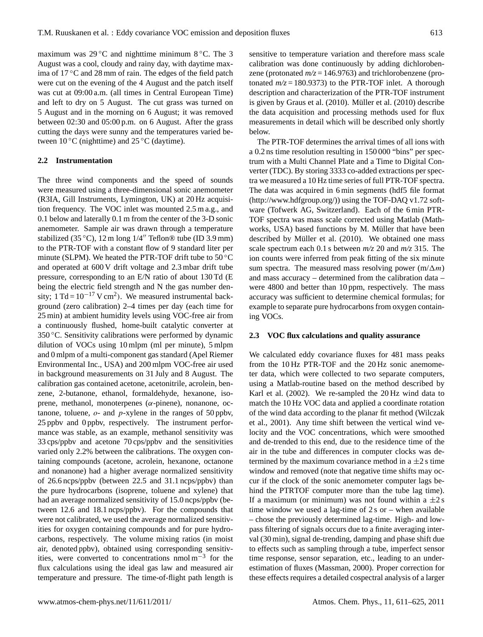maximum was  $29\textdegree C$  and nighttime minimum  $8\textdegree C$ . The 3 August was a cool, cloudy and rainy day, with daytime maxima of 17 ◦C and 28 mm of rain. The edges of the field patch were cut on the evening of the 4 August and the patch itself was cut at 09:00 a.m. (all times in Central European Time) and left to dry on 5 August. The cut grass was turned on 5 August and in the morning on 6 August; it was removed between 02:30 and 05:00 p.m. on 6 August. After the grass cutting the days were sunny and the temperatures varied between  $10\,^{\circ}\text{C}$  (nighttime) and  $25\,^{\circ}\text{C}$  (daytime).

#### **2.2 Instrumentation**

The three wind components and the speed of sounds were measured using a three-dimensional sonic anemometer (R3IA, Gill Instruments, Lymington, UK) at 20 Hz acquisition frequency. The VOC inlet was mounted 2.5 m a.g., and 0.1 below and laterally 0.1 m from the center of the 3-D sonic anemometer. Sample air was drawn through a temperature stabilized (35 °C), 12 m long  $1/4''$  Teflon® tube (ID 3.9 mm) to the PTR-TOF with a constant flow of 9 standard liter per minute (SLPM). We heated the PTR-TOF drift tube to 50 $\degree$ C and operated at 600 V drift voltage and 2.3 mbar drift tube pressure, corresponding to an E/N ratio of about 130 Td (E being the electric field strength and N the gas number density;  $1 \text{ Td} = 10^{-17} \text{ V cm}^2$ ). We measured instrumental background (zero calibration) 2–4 times per day (each time for 25 min) at ambient humidity levels using VOC-free air from a continuously flushed, home-built catalytic converter at 350 ◦C. Sensitivity calibrations were performed by dynamic dilution of VOCs using 10 mlpm (ml per minute), 5 mlpm and 0 mlpm of a multi-component gas standard (Apel Riemer Environmental Inc., USA) and 200 mlpm VOC-free air used in background measurements on 31 July and 8 August. The calibration gas contained acetone, acetonitrile, acrolein, benzene, 2-butanone, ethanol, formaldehyde, hexanone, isoprene, methanol, monoterpenes ( $\alpha$ -pinene), nonanone, octanone, toluene,  $o$ - and  $p$ -xylene in the ranges of 50 ppbv, 25 ppbv and 0 ppbv, respectively. The instrument performance was stable, as an example, methanol sensitivity was 33 cps/ppbv and acetone 70 cps/ppbv and the sensitivities varied only 2.2% between the calibrations. The oxygen containing compounds (acetone, acrolein, hexanone, octanone and nonanone) had a higher average normalized sensitivity of 26.6 ncps/ppbv (between 22.5 and 31.1 ncps/ppbv) than the pure hydrocarbons (isoprene, toluene and xylene) that had an average normalized sensitivity of 15.0 ncps/ppbv (between 12.6 and 18.1 ncps/ppbv). For the compounds that were not calibrated, we used the average normalized sensitivities for oxygen containing compounds and for pure hydrocarbons, respectively. The volume mixing ratios (in moist air, denoted ppbv), obtained using corresponding sensitivities, were converted to concentrations nmol m−<sup>3</sup> for the flux calculations using the ideal gas law and measured air temperature and pressure. The time-of-flight path length is sensitive to temperature variation and therefore mass scale calibration was done continuously by adding dichlorobenzene (protonated *m/z* = 146.9763) and trichlorobenzene (protonated  $m/z = 180.9373$ ) to the PTR-TOF inlet. A thorough description and characterization of the PTR-TOF instrument is given by Graus et al. (2010). Müller et al. (2010) describe the data acquisition and processing methods used for flux measurements in detail which will be described only shortly below.

The PTR-TOF determines the arrival times of all ions with a 0.2 ns time resolution resulting in 150 000 "bins" per spectrum with a Multi Channel Plate and a Time to Digital Converter (TDC). By storing 3333 co-added extractions per spectra we measured a 10 Hz time series of full PTR-TOF spectra. The data was acquired in 6 min segments (hdf5 file format [\(http://www.hdfgroup.org/\)](http://www.hdfgroup.org/)) using the TOF-DAQ v1.72 software (Tofwerk AG, Switzerland). Each of the 6 min PTR-TOF spectra was mass scale corrected using Matlab (Mathworks, USA) based functions by M. Müller that have been described by Müller et al. (2010). We obtained one mass scale spectrum each 0.1 s between *m/z* 20 and *m/z* 315. The ion counts were inferred from peak fitting of the six minute sum spectra. The measured mass resolving power  $(m/\Delta m)$ and mass accuracy – determined from the calibration data – were 4800 and better than 10 ppm, respectively. The mass accuracy was sufficient to determine chemical formulas; for example to separate pure hydrocarbons from oxygen containing VOCs.

#### **2.3 VOC flux calculations and quality assurance**

We calculated eddy covariance fluxes for 481 mass peaks from the 10 Hz PTR-TOF and the 20 Hz sonic anemometer data, which were collected to two separate computers, using a Matlab-routine based on the method described by Karl et al. (2002). We re-sampled the 20 Hz wind data to match the 10 Hz VOC data and applied a coordinate rotation of the wind data according to the planar fit method (Wilczak et al., 2001). Any time shift between the vertical wind velocity and the VOC concentrations, which were smoothed and de-trended to this end, due to the residence time of the air in the tube and differences in computer clocks was determined by the maximum covariance method in a  $\pm 2$  s time window and removed (note that negative time shifts may occur if the clock of the sonic anemometer computer lags behind the PTRTOF computer more than the tube lag time). If a maximum (or minimum) was not found within a  $\pm 2$  s time window we used a lag-time of  $2s$  or – when available – chose the previously determined lag-time. High- and lowpass filtering of signals occurs due to a finite averaging interval (30 min), signal de-trending, damping and phase shift due to effects such as sampling through a tube, imperfect sensor time response, sensor separation, etc., leading to an underestimation of fluxes (Massman, 2000). Proper correction for these effects requires a detailed cospectral analysis of a larger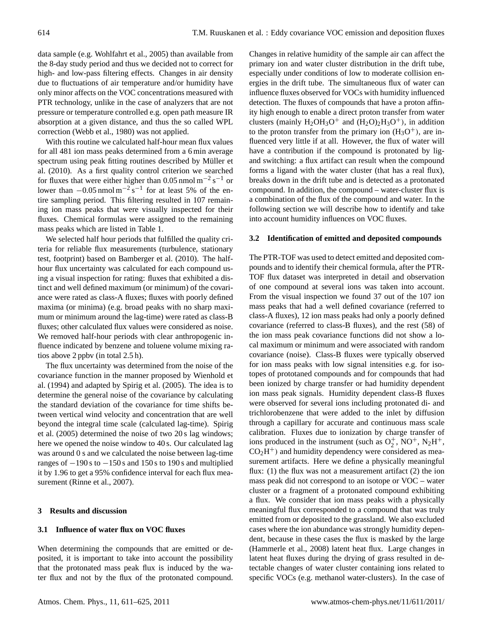data sample (e.g. Wohlfahrt et al., 2005) than available from the 8-day study period and thus we decided not to correct for high- and low-pass filtering effects. Changes in air density due to fluctuations of air temperature and/or humidity have only minor affects on the VOC concentrations measured with PTR technology, unlike in the case of analyzers that are not pressure or temperature controlled e.g. open path measure IR absorption at a given distance, and thus the so called WPL correction (Webb et al., 1980) was not applied.

With this routine we calculated half-hour mean flux values for all 481 ion mass peaks determined from a 6 min average spectrum using peak fitting routines described by Müller et al. (2010). As a first quality control criterion we searched for fluxes that were either higher than 0.05 nmol  $m^{-2} s^{-1}$  or lower than  $-0.05$  nmol m<sup>-2</sup> s<sup>-1</sup> for at least 5% of the entire sampling period. This filtering resulted in 107 remaining ion mass peaks that were visually inspected for their fluxes. Chemical formulas were assigned to the remaining mass peaks which are listed in Table 1.

We selected half hour periods that fulfilled the quality criteria for reliable flux measurements (turbulence, stationary test, footprint) based on Bamberger et al. (2010). The halfhour flux uncertainty was calculated for each compound using a visual inspection for rating: fluxes that exhibited a distinct and well defined maximum (or minimum) of the covariance were rated as class-A fluxes; fluxes with poorly defined maxima (or minima) (e.g. broad peaks with no sharp maximum or minimum around the lag-time) were rated as class-B fluxes; other calculated flux values were considered as noise. We removed half-hour periods with clear anthropogenic influence indicated by benzene and toluene volume mixing ratios above 2 ppbv (in total 2.5 h).

The flux uncertainty was determined from the noise of the covariance function in the manner proposed by Wienhold et al. (1994) and adapted by Spirig et al. (2005). The idea is to determine the general noise of the covariance by calculating the standard deviation of the covariance for time shifts between vertical wind velocity and concentration that are well beyond the integral time scale (calculated lag-time). Spirig et al. (2005) determined the noise of two 20 s lag windows; here we opened the noise window to 40 s. Our calculated lag was around 0 s and we calculated the noise between lag-time ranges of  $-190$  s to  $-150$  s and 150 s to 190 s and multiplied it by 1.96 to get a 95% confidence interval for each flux measurement (Rinne et al., 2007).

## **3 Results and discussion**

# **3.1 Influence of water flux on VOC fluxes**

When determining the compounds that are emitted or deposited, it is important to take into account the possibility that the protonated mass peak flux is induced by the water flux and not by the flux of the protonated compound. Changes in relative humidity of the sample air can affect the primary ion and water cluster distribution in the drift tube, especially under conditions of low to moderate collision energies in the drift tube. The simultaneous flux of water can influence fluxes observed for VOCs with humidity influenced detection. The fluxes of compounds that have a proton affinity high enough to enable a direct proton transfer from water clusters (mainly  $H_2OH_3O^+$  and  $(H_2O)_2H_3O^+$ ), in addition to the proton transfer from the primary ion  $(H_3O^+)$ , are influenced very little if at all. However, the flux of water will have a contribution if the compound is protonated by ligand switching: a flux artifact can result when the compound forms a ligand with the water cluster (that has a real flux), breaks down in the drift tube and is detected as a protonated compound. In addition, the compound – water-cluster flux is a combination of the flux of the compound and water. In the following section we will describe how to identify and take into account humidity influences on VOC fluxes.

#### **3.2 Identification of emitted and deposited compounds**

The PTR-TOF was used to detect emitted and deposited compounds and to identify their chemical formula, after the PTR-TOF flux dataset was interpreted in detail and observation of one compound at several ions was taken into account. From the visual inspection we found 37 out of the 107 ion mass peaks that had a well defined covariance (referred to class-A fluxes), 12 ion mass peaks had only a poorly defined covariance (referred to class-B fluxes), and the rest (58) of the ion mass peak covariance functions did not show a local maximum or minimum and were associated with random covariance (noise). Class-B fluxes were typically observed for ion mass peaks with low signal intensities e.g. for isotopes of prototaned compounds and for compounds that had been ionized by charge transfer or had humidity dependent ion mass peak signals. Humidity dependent class-B fluxes were observed for several ions including protonated di- and trichlorobenzene that were added to the inlet by diffusion through a capillary for accurate and continuous mass scale calibration. Fluxes due to ionization by charge transfer of ions produced in the instrument (such as  $O_2^+$ , NO<sup>+</sup>, N<sub>2</sub>H<sup>+</sup>,  $CO<sub>2</sub>H<sup>+</sup>$ ) and humidity dependency were considered as measurement artifacts. Here we define a physically meaningful flux: (1) the flux was not a measurement artifact (2) the ion mass peak did not correspond to an isotope or VOC – water cluster or a fragment of a protonated compound exhibiting a flux. We consider that ion mass peaks with a physically meaningful flux corresponded to a compound that was truly emitted from or deposited to the grassland. We also excluded cases where the ion abundance was strongly humidity dependent, because in these cases the flux is masked by the large (Hammerle et al., 2008) latent heat flux. Large changes in latent heat fluxes during the drying of grass resulted in detectable changes of water cluster containing ions related to specific VOCs (e.g. methanol water-clusters). In the case of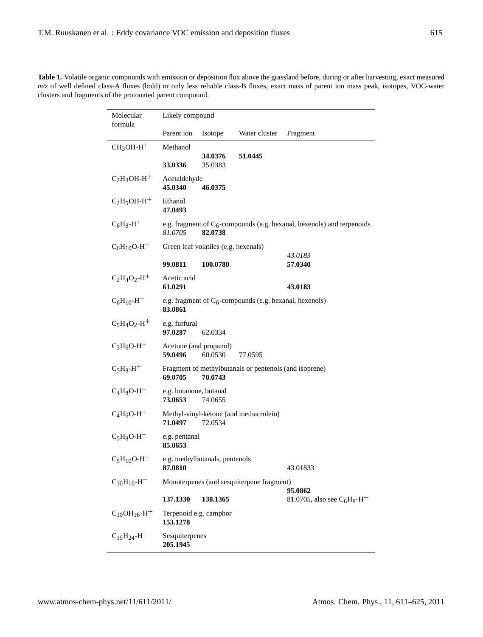|  | <b>Table 1.</b> Volatile organic compounds with emission or deposition flux above the grassland before, during or after harvesting, exact measured |  |  |  |  |
|--|----------------------------------------------------------------------------------------------------------------------------------------------------|--|--|--|--|
|  | $m/z$ of well defined class-A fluxes (bold) or only less reliable class-B fluxes, exact mass of parent ion mass peak, isotopes, VOC-water          |  |  |  |  |
|  | clusters and fragments of the protonated parent compound.                                                                                          |  |  |  |  |

| Molecular<br>formula            | Likely compound                   |                                      |                                                            |                                                                           |
|---------------------------------|-----------------------------------|--------------------------------------|------------------------------------------------------------|---------------------------------------------------------------------------|
|                                 | Parent ion                        | Isotope                              | Water cluster                                              | Fragment                                                                  |
| $CH3OH-H+$                      | Methanol                          |                                      | 51.0445                                                    |                                                                           |
|                                 | 33.0336                           | 34.0376<br>35.0383                   |                                                            |                                                                           |
| $C_2H_3OH-H^+$                  | Acetaldehyde<br>45.0340           | 46.0375                              |                                                            |                                                                           |
| $C_2H_5OH-H^+$                  | Ethanol<br>47.0493                |                                      |                                                            |                                                                           |
| $C_6H_8-H^+$                    | 81.0705                           | 82.0738                              |                                                            | e.g. fragment of $C_6$ -compounds (e.g. hexanal, hexenols) and terpenoids |
| $C_6H_{10}O-H^+$                |                                   | Green leaf volatiles (e.g. hexenals) |                                                            |                                                                           |
|                                 | 99.0811                           | 100.0780                             |                                                            | 43.0183<br>57.0340                                                        |
| $C_2H_4O_2-H^+$                 | Acetic acid<br>61.0291            |                                      |                                                            | 43.0183                                                                   |
| $C_6H_{10} - H^+$               | 83.0861                           |                                      | e.g. fragment of $C_6$ -compounds (e.g. hexanal, hexenols) |                                                                           |
| $C_5H_4O_2-H^+$                 | e.g. furfural<br>97.0287          | 62.0334                              |                                                            |                                                                           |
| $C_3H_6O-H^+$                   | 59.0496                           | Acetone (and propanol)<br>60.0530    | 77.0595                                                    |                                                                           |
| $C_5H_8-H^+$                    | 69.0705                           | 70.0743                              | Fragment of methylbutanals or pentenols (and isoprene)     |                                                                           |
| $C_4H_8O-H^+$                   | e.g. butanone, butanal<br>73.0653 | 74.0655                              |                                                            |                                                                           |
| $C_4H_6O-H^+$                   | 71.0497                           | 72.0534                              | Methyl-vinyl-ketone (and methacrolein)                     |                                                                           |
| $C_5H_8O-H^+$                   | e.g. pentanal<br>85.0653          |                                      |                                                            |                                                                           |
| $C_5H_{10}O-H^+$                | 87.0810                           | e.g. methylbutanals, pentenols       |                                                            | 43.01833                                                                  |
| $C_{10}H_{16}$ -H <sup>+</sup>  |                                   |                                      | Monoterpenes (and sesquiterpene fragment)                  |                                                                           |
|                                 | 137.1330                          | 138.1365                             |                                                            | 95.0862<br>81.0705, also see $C_6H_8$ -H <sup>+</sup>                     |
| $C_{10}OH_{16}$ -H <sup>+</sup> | 153.1278                          | Terpenoid e.g. camphor               |                                                            |                                                                           |
| $C_{15}H_{24}$ -H <sup>+</sup>  | Sesquiterpenes<br>205.1945        |                                      |                                                            |                                                                           |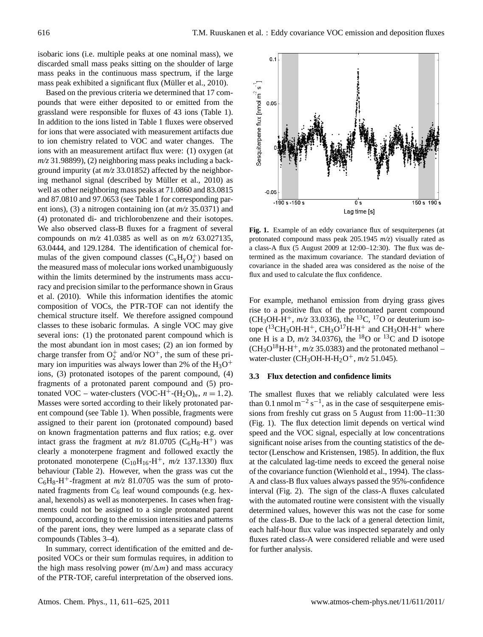isobaric ions (i.e. multiple peaks at one nominal mass), we discarded small mass peaks sitting on the shoulder of large mass peaks in the continuous mass spectrum, if the large mass peak exhibited a significant flux (Müller et al., 2010).

Based on the previous criteria we determined that 17 compounds that were either deposited to or emitted from the grassland were responsible for fluxes of 43 ions (Table 1). In addition to the ions listed in Table 1 fluxes were observed for ions that were associated with measurement artifacts due to ion chemistry related to VOC and water changes. The ions with an measurement artifact flux were: (1) oxygen (at *m/z* 31.98899), (2) neighboring mass peaks including a background impurity (at *m/z* 33.01852) affected by the neighboring methanol signal (described by Müller et al., 2010) as well as other neighboring mass peaks at 71.0860 and 83.0815 and 87.0810 and 97.0653 (see Table 1 for corresponding parent ions), (3) a nitrogen containing ion (at *m/z* 35.0371) and (4) protonated di- and trichlorobenzene and their isotopes. We also observed class-B fluxes for a fragment of several compounds on *m/z* 41.0385 as well as on *m/z* 63.027135, 63.0444, and 129.1284. The identification of chemical formulas of the given compound classes  $(C_xH_yO_z^+)$  based on the measured mass of molecular ions worked unambiguously within the limits determined by the instruments mass accuracy and precision similar to the performance shown in Graus et al. (2010). While this information identifies the atomic composition of VOCs, the PTR-TOF can not identify the chemical structure itself. We therefore assigned compound classes to these isobaric formulas. A single VOC may give several ions: (1) the protonated parent compound which is the most abundant ion in most cases; (2) an ion formed by charge transfer from  $O_2^+$  and/or NO<sup>+</sup>, the sum of these primary ion impurities was always lower than 2% of the  $H_3O^+$ ions, (3) protonated isotopes of the parent compound, (4) fragments of a protonated parent compound and (5) protonated VOC – water-clusters (VOC-H<sup>+</sup>-(H<sub>2</sub>O)<sub>n</sub>,  $n = 1,2$ ). Masses were sorted according to their likely protonated parent compound (see Table 1). When possible, fragments were assigned to their parent ion (protonated compound) based on known fragmentation patterns and flux ratios; e.g. over intact grass the fragment at  $m/z$  81.0705 (C<sub>6</sub>H<sub>8</sub>-H<sup>+</sup>) was clearly a monoterpene fragment and followed exactly the protonated monoterpene  $(C_{10}H_{16}-H^+$ ,  $m/z$  137.1330) flux behaviour (Table 2). However, when the grass was cut the  $C_6H_8-H^+$ -fragment at  $m/z$  81.0705 was the sum of protonated fragments from  $C_6$  leaf wound compounds (e.g. hexanal, hexenols) as well as monoterpenes. In cases when fragments could not be assigned to a single protonated parent compound, according to the emission intensities and patterns of the parent ions, they were lumped as a separate class of compounds (Tables 3–4).

In summary, correct identification of the emitted and deposited VOCs or their sum formulas requires, in addition to the high mass resolving power  $(m/\Delta m)$  and mass accuracy of the PTR-TOF, careful interpretation of the observed ions.



 $2.2$  Figure 1. Eq. and covariance flux of session  $\alpha$  session of session  $\alpha$ Fig. 1. Example of an eddy covariance flux of sesquiterpenes (at protonated compound mass peak  $205.1945$   $m/z$ ) visually rated as a class-A flux (5 August 2009 at 12:00–12:30). The flux was determined as the maximum covariance. The standard deviation of covariance in the shaded area was considered as the noise of the flux and used to calculate the flux confidence.

one H is a D,  $m/z$  34.0376), the <sup>18</sup>O or <sup>13</sup>C and D isotope For example, methanol emission from drying grass gives rise to a positive flux of the protonated parent compound (CH<sub>3</sub>OH-H<sup>+</sup>,  $m/z$  33.0336), the <sup>13</sup>C, <sup>17</sup>O or deuterium isotope  $(^{13}CH_3OH-H^+$ , CH<sub>3</sub>O<sup>17</sup>H-H<sup>+</sup> and CH<sub>3</sub>OH-H<sup>+</sup> where  $(CH_3O^{18}H-H^+, m/z$  35.0383) and the protonated methanol – water-cluster (CH<sub>3</sub>OH-H-H<sub>2</sub>O<sup>+</sup>, *m/z* 51.045).

#### **3.3 Flux detection and confidence limits**

The smallest fluxes that we reliably calculated were less than 0.1 nmol  $m^{-2} s^{-1}$ , as in the case of sesquiterpene emissions from freshly cut grass on 5 August from 11:00–11:30 (Fig. 1). The flux detection limit depends on vertical wind speed and the VOC signal, especially at low concentrations significant noise arises from the counting statistics of the detector (Lenschow and Kristensen, 1985). In addition, the flux at the calculated lag-time needs to exceed the general noise of the covariance function (Wienhold et al., 1994). The class-A and class-B flux values always passed the 95%-confidence interval (Fig. 2). The sign of the class-A fluxes calculated with the automated routine were consistent with the visually determined values, however this was not the case for some of the class-B. Due to the lack of a general detection limit, each half-hour flux value was inspected separately and only fluxes rated class-A were considered reliable and were used for further analysis.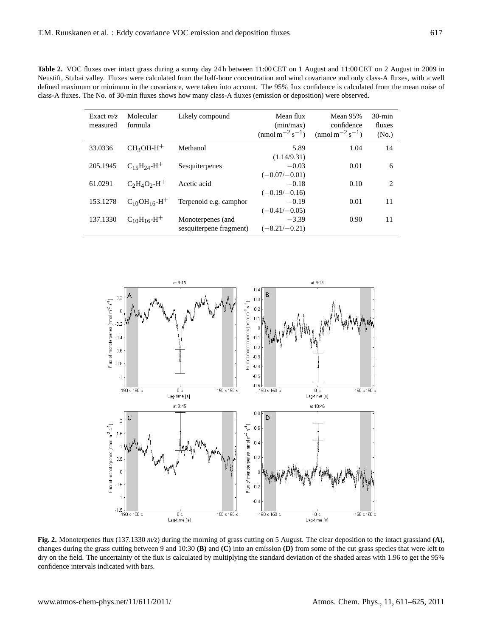Table 2. VOC fluxes over intact grass during a sunny day 24 h between 11:00 CET on 1 August and 11:00 CET on 2 August in 2009 in Neustift, Stubai valley. Fluxes were calculated from the half-hour concentration and wind covariance and only class-A fluxes, with a well defined maximum or minimum in the covariance, were taken into account. The 95% flux confidence is calculated from the mean noise of class-A fluxes. The No. of 30-min fluxes shows how many class-A fluxes (emission or deposition) were observed.

| Exact $m/z$<br>measured | Molecular<br>formula           | Likely compound                              | Mean flux<br>(min/max)<br>(nmol m <sup>-2</sup> s <sup>-1</sup> ) | Mean 95%<br>confidence<br>$\text{(nmol m}^{-2} \text{s}^{-1})$ | $30$ -min<br>fluxes<br>(No.) |
|-------------------------|--------------------------------|----------------------------------------------|-------------------------------------------------------------------|----------------------------------------------------------------|------------------------------|
| 33.0336                 | $CH3OH-H+$                     | Methanol                                     | 5.89<br>(1.14/9.31)                                               | 1.04                                                           | 14                           |
| 205.1945                | $C_{15}H_{24}H^{+}$            | Sesquiterpenes                               | $-0.03$<br>$(-0.07/-0.01)$                                        | 0.01                                                           | 6                            |
| 61.0291                 | $C_2H_4O_2-H^+$                | Acetic acid                                  | $-0.18$<br>$(-0.19/-0.16)$                                        | 0.10                                                           | 2                            |
| 153.1278                | $C_{10}OH_{16}-H^{+}$          | Terpenoid e.g. camphor                       | $-0.19$<br>$(-0.41/-0.05)$                                        | 0.01                                                           | 11                           |
| 137.1330                | $C_{10}H_{16}$ -H <sup>+</sup> | Monoterpenes (and<br>sesquiterpene fragment) | $-3.39$<br>$(-8.21/-0.21)$                                        | 0.90                                                           | 11                           |



Fig. 2. Monoterpenes flux (137.1330  $m/z$ ) during the morning of grass cutting on 5 August. The clear deposition to the intact grassland (A), changes during the grass cutting between 9 and 10:30 (B) and (C) into an emission (D) from some of the cut grass species that were left to dry on the field. The uncertainty of the flux is calculated by multiplying the standard deviation of the shaded areas with 1.96 to get the 95% confidence intervals indicated with bars.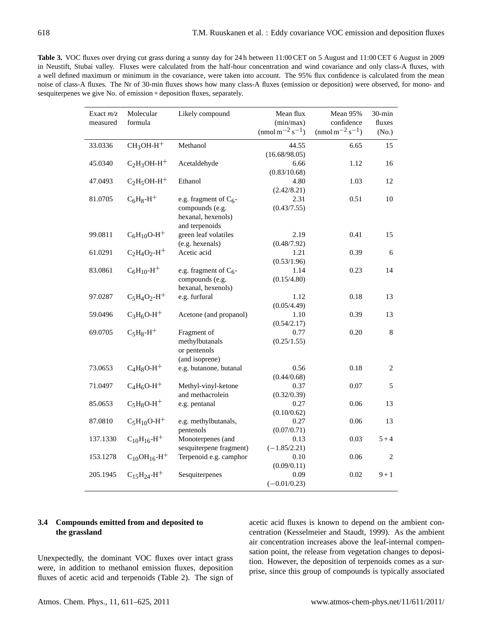**Table 3.** VOC fluxes over drying cut grass during a sunny day for 24 h between 11:00 CET on 5 August and 11:00 CET 6 August in 2009 in Neustift, Stubai valley. Fluxes were calculated from the half-hour concentration and wind covariance and only class-A fluxes, with a well defined maximum or minimum in the covariance, were taken into account. The 95% flux confidence is calculated from the mean noise of class-A fluxes. The Nr of 30-min fluxes shows how many class-A fluxes (emission or deposition) were observed, for mono- and sesquiterpenes we give No. of emission + deposition fluxes, separately.

| Exact $m/z$ | Molecular                      | Likely compound                       | Mean flux                                         | Mean 95%                                              | $30$ -min      |
|-------------|--------------------------------|---------------------------------------|---------------------------------------------------|-------------------------------------------------------|----------------|
| measured    | formula                        |                                       | (min/max)<br>$\text{(nmol m}^{-2} \text{s}^{-1})$ | confidence<br>(nmol m <sup>-2</sup> s <sup>-1</sup> ) | fluxes         |
|             |                                |                                       |                                                   |                                                       | (No.)          |
| 33.0336     | $CH3OH-H+$                     | Methanol                              | 44.55                                             | 6.65                                                  | 15             |
|             |                                |                                       | (16.68/98.05)                                     |                                                       |                |
| 45.0340     | $C_2H_3OH-H^+$                 | Acetaldehyde                          | 6.66                                              | 1.12                                                  | 16             |
|             |                                |                                       | (0.83/10.68)                                      |                                                       |                |
| 47.0493     | $C2H5OH-H+$                    | Ethanol                               | 4.80                                              | 1.03                                                  | 12             |
|             |                                |                                       | (2.42/8.21)                                       |                                                       |                |
| 81.0705     | $C_6H_8-H^+$                   | e.g. fragment of $C_6$ -              | 2.31                                              | 0.51                                                  | 10             |
|             |                                | compounds (e.g.                       | (0.43/7.55)                                       |                                                       |                |
|             |                                | hexanal, hexenols)                    |                                                   |                                                       |                |
|             |                                | and terpenoids                        |                                                   |                                                       |                |
| 99.0811     | $C_6H_{10}O-H^+$               | green leaf volatiles                  | 2.19                                              | 0.41                                                  | 15             |
|             |                                | (e.g. hexenals)                       | (0.48/7.92)                                       |                                                       |                |
| 61.0291     | $C_2H_4O_2-H^+$                | Acetic acid                           | 1.21                                              | 0.39                                                  | 6              |
|             |                                |                                       | (0.53/1.96)                                       |                                                       |                |
| 83.0861     | $C_6H_{10} - H^+$              | e.g. fragment of $C_6$ -              | 1.14                                              | 0.23                                                  | 14             |
|             |                                | compounds (e.g.<br>hexanal, hexenols) | (0.15/4.80)                                       |                                                       |                |
|             | $C_5H_4O_2-H^+$                |                                       |                                                   |                                                       |                |
| 97.0287     |                                | e.g. furfural                         | 1.12<br>(0.05/4.49)                               | 0.18                                                  | 13             |
| 59.0496     | $C_3H_6O-H^+$                  | Acetone (and propanol)                | 1.10                                              | 0.39                                                  | 13             |
|             |                                |                                       | (0.54/2.17)                                       |                                                       |                |
| 69.0705     | $C_5H_8-H^+$                   | Fragment of                           | 0.77                                              | 0.20                                                  | $8\,$          |
|             |                                | methylbutanals                        | (0.25/1.55)                                       |                                                       |                |
|             |                                | or pentenols                          |                                                   |                                                       |                |
|             |                                | (and isoprene)                        |                                                   |                                                       |                |
| 73.0653     | $C_4H_8O-H^+$                  | e.g. butanone, butanal                | 0.56                                              | 0.18                                                  | $\overline{2}$ |
|             |                                |                                       | (0.44/0.68)                                       |                                                       |                |
| 71.0497     | $C_4H_6O-H^+$                  | Methyl-vinyl-ketone                   | 0.37                                              | 0.07                                                  | 5              |
|             |                                | and methacrolein                      | (0.32/0.39)                                       |                                                       |                |
| 85.0653     | $C_5H_8O-H^+$                  | e.g. pentanal                         | 0.27                                              | 0.06                                                  | 13             |
|             |                                |                                       | (0.10/0.62)                                       |                                                       |                |
| 87.0810     | $C_5H_{10}O-H^+$               | e.g. methylbutanals,                  | 0.27                                              | 0.06                                                  | 13             |
|             |                                | pentenols                             | (0.07/0.71)                                       |                                                       |                |
| 137.1330    | $C_{10}H_{16}$ -H <sup>+</sup> | Monoterpenes (and                     | 0.13                                              | 0.03                                                  | $5 + 4$        |
|             |                                | sesquiterpene fragment)               | $(-1.85/2.21)$                                    |                                                       |                |
| 153.1278    | $C_{10}OH_{16}-H^{+}$          | Terpenoid e.g. camphor                | 0.10                                              | 0.06                                                  | $\overline{2}$ |
|             |                                |                                       | (0.09/0.11)                                       |                                                       |                |
| 205.1945    | $C_{15}H_{24}$ -H <sup>+</sup> | Sesquiterpenes                        | 0.09                                              | 0.02                                                  | $9 + 1$        |
|             |                                |                                       | $(-0.01/0.23)$                                    |                                                       |                |

# **3.4 Compounds emitted from and deposited to the grassland**

Unexpectedly, the dominant VOC fluxes over intact grass were, in addition to methanol emission fluxes, deposition fluxes of acetic acid and terpenoids (Table 2). The sign of

acetic acid fluxes is known to depend on the ambient concentration (Kesselmeier and Staudt, 1999). As the ambient air concentration increases above the leaf-internal compensation point, the release from vegetation changes to deposition. However, the deposition of terpenoids comes as a surprise, since this group of compounds is typically associated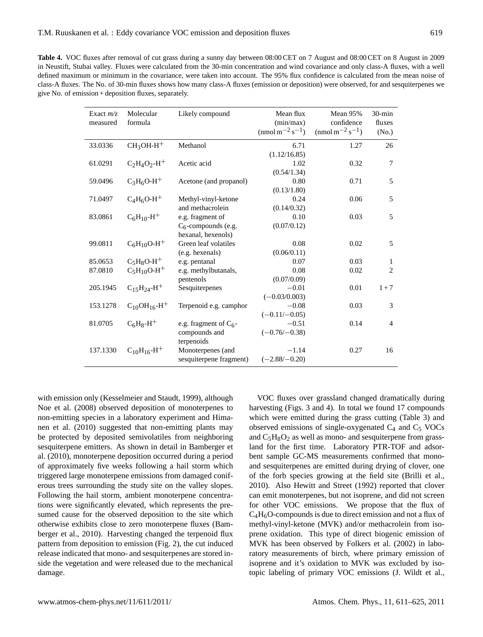**Table 4.** VOC fluxes after removal of cut grass during a sunny day between 08:00 CET on 7 August and 08:00 CET on 8 August in 2009 in Neustift, Stubai valley. Fluxes were calculated from the 30-min concentration and wind covariance and only class-A fluxes, with a well defined maximum or minimum in the covariance, were taken into account. The 95% flux confidence is calculated from the mean noise of class-A fluxes. The No. of 30-min fluxes shows how many class-A fluxes (emission or deposition) were observed, for and sesquiterpenes we give No. of emission + deposition fluxes, separately.

| Exact $m/z$<br>measured | Molecular<br>formula            | Likely compound                                            | Mean flux<br>(min/max)<br>$\text{(nmol m}^{-2} \text{s}^{-1})$ | Mean 95%<br>confidence<br>$\text{(nmol m}^{-2} \text{s}^{-1})$ | $30$ -min<br>fluxes<br>(No.) |
|-------------------------|---------------------------------|------------------------------------------------------------|----------------------------------------------------------------|----------------------------------------------------------------|------------------------------|
| 33.0336                 | $CH3OH-H+$                      | Methanol                                                   | 6.71<br>(1.12/16.85)                                           | 1.27                                                           | 26                           |
| 61.0291                 | $C_2H_4O_2-H^+$                 | Acetic acid                                                | 1.02<br>(0.54/1.34)                                            | 0.32                                                           | 7                            |
| 59.0496                 | $C_3H_6O-H^+$                   | Acetone (and propanol)                                     | 0.80<br>(0.13/1.80)                                            | 0.71                                                           | 5                            |
| 71.0497                 | $C_4H_6O-H^+$                   | Methyl-vinyl-ketone<br>and methacrolein                    | 0.24<br>(0.14/0.32)                                            | 0.06                                                           | 5                            |
| 83.0861                 | $C_6H_{10} - H^+$               | e.g. fragment of<br>$C_6$ -compounds (e.g.                 | 0.10<br>(0.07/0.12)                                            | 0.03                                                           | 5                            |
| 99.0811                 | $C_6H_{10}O-H^+$                | hexanal, hexenols)<br>Green leaf volatiles                 | 0.08                                                           | 0.02                                                           | 5                            |
| 85.0653                 | $C_5H_8O-H^+$                   | (e.g. hexenals)<br>e.g. pentanal                           | (0.06/0.11)<br>0.07                                            | 0.03                                                           | 1                            |
| 87.0810                 | $C_5H_{10}O-H^+$                | e.g. methylbutanals,                                       | 0.08                                                           | 0.02                                                           | $\overline{c}$               |
| 205.1945                | $C_{15}H_{24}$ -H <sup>+</sup>  | pentenols<br>Sesquiterpenes                                | (0.07/0.09)<br>$-0.01$                                         | 0.01                                                           | $1 + 7$                      |
| 153.1278                | $C_{10}OH_{16}$ -H <sup>+</sup> | Terpenoid e.g. camphor                                     | $(-0.03/0.003)$<br>$-0.08$                                     | 0.03                                                           | 3                            |
| 81.0705                 | $C_6H_8-H^+$                    | e.g. fragment of $C_6$ -<br>compounds and                  | $(-0.11/-0.05)$<br>$-0.51$<br>$(-0.76/-0.38)$                  | 0.14                                                           | $\overline{4}$               |
| 137.1330                | $C_{10}H_{16}$ -H <sup>+</sup>  | terpenoids<br>Monoterpenes (and<br>sesquiterpene fragment) | $-1.14$<br>$(-2.88/-0.20)$                                     | 0.27                                                           | 16                           |

with emission only (Kesselmeier and Staudt, 1999), although Noe et al. (2008) observed deposition of monoterpenes to non-emitting species in a laboratory experiment and Himanen et al. (2010) suggested that non-emitting plants may be protected by deposited semivolatiles from neighboring sesquiterpene emitters. As shown in detail in Bamberger et al. (2010), monoterpene deposition occurred during a period of approximately five weeks following a hail storm which triggered large monoterpene emissions from damaged coniferous trees surrounding the study site on the valley slopes. Following the hail storm, ambient monoterpene concentrations were significantly elevated, which represents the presumed cause for the observed deposition to the site which otherwise exhibits close to zero monoterpene fluxes (Bamberger et al., 2010). Harvesting changed the terpenoid flux pattern from deposition to emission (Fig. 2), the cut induced release indicated that mono- and sesquiterpenes are stored inside the vegetation and were released due to the mechanical damage.

VOC fluxes over grassland changed dramatically during harvesting (Figs. 3 and 4). In total we found 17 compounds which were emitted during the grass cutting (Table 3) and observed emissions of single-oxygenated  $C_4$  and  $C_5$  VOCs and  $C_5H_8O_2$  as well as mono- and sesquiterpene from grassland for the first time. Laboratory PTR-TOF and adsorbent sample GC-MS measurements confirmed that monoand sesquiterpenes are emitted during drying of clover, one of the forb species growing at the field site (Brilli et al., 2010). Also Hewitt and Street (1992) reported that clover can emit monoterpenes, but not isoprene, and did not screen for other VOC emissions. We propose that the flux of  $C_4H_6O$ -compounds is due to direct emission and not a flux of methyl-vinyl-ketone (MVK) and/or methacrolein from isoprene oxidation. This type of direct biogenic emission of MVK has been observed by Folkers et al. (2002) in laboratory measurements of birch, where primary emission of isoprene and it's oxidation to MVK was excluded by isotopic labeling of primary VOC emissions (J. Wildt et al.,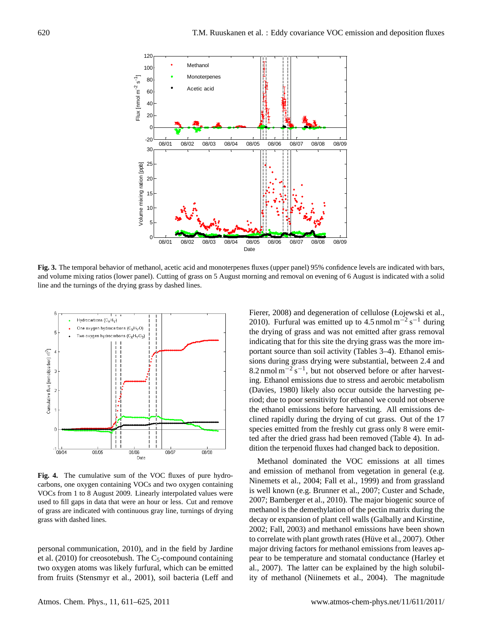

Fig. 3. The temporal behavior of methanol, acetic acid and monoterpenes fluxes (upper panel) 95% confidence levels are indicated with bars,  $\frac{3}{2}$  95% confidence, with bars, and  $\frac{3}{2}$  95% confidence indicated with bars, and  $\frac{3}{2}$  95% confidence in  $\frac{3}{2}$   $\frac{3}{2}$   $\frac{3}{2}$   $\frac{3}{2}$   $\frac{3}{2}$   $\frac{3}{2}$   $\frac{3}{2}$   $\frac{3}{2}$   $\frac{3}{2}$   $\frac{3}{2}$   $\$ and volume mixing ratios (lower panel). Cutting of grass on 5 August morning and removal on evening of 6 August is indicated with a solid line and the turnings of the drying grass by dashed lines.



 $\overline{z}$   $\overline{z}$   $\overline{z}$   $\overline{z}$   $\overline{z}$   $\overline{z}$   $\overline{z}$   $\overline{z}$   $\overline{z}$   $\overline{z}$   $\overline{z}$   $\overline{z}$   $\overline{z}$   $\overline{z}$   $\overline{z}$   $\overline{z}$   $\overline{z}$   $\overline{z}$   $\overline{z}$   $\overline{z}$   $\overline{z}$   $\overline{z}$   $\overline{z}$   $\overline{z}$   $\overline{$ Fig. 4. The cumulative sum of the VOC fluxes of pure hydrocarbons, one oxygen containing VOCs and two oxygen containing VOCs from 1 to 8 August 2009. Linearly interpolated values were used to fill gaps in data that were an hour or less. Cut and remove of grass are indicated with continuous gray line, turnings of drying grass with dashed lines.

personal communication, 2010), and in the field by Jardine et al.  $(2010)$  for creosotebush. The C<sub>5</sub>-compound containing two oxygen atoms was likely furfural, which can be emitted from fruits (Stensmyr et al., 2001), soil bacteria (Leff and the ethanol emissions before harvesting. All emissions de-Fierer, 2008) and degeneration of cellulose (Łojewski et al., 2010). Furfural was emitted up to  $4.5 \text{ nmol m}^{-2} \text{ s}^{-1}$  during the drying of grass and was not emitted after grass removal indicating that for this site the drying grass was the more important source than soil activity (Tables 3–4). Ethanol emissions during grass drying were substantial, between 2.4 and 8.2 nmol  $m^{-2} s^{-1}$ , but not observed before or after harvesting. Ethanol emissions due to stress and aerobic metabolism (Davies, 1980) likely also occur outside the harvesting period; due to poor sensitivity for ethanol we could not observe clined rapidly during the drying of cut grass. Out of the 17 species emitted from the freshly cut grass only 8 were emitted after the dried grass had been removed (Table 4). In addition the terpenoid fluxes had changed back to deposition.

Methanol dominated the VOC emissions at all times and emission of methanol from vegetation in general (e.g. Ninemets et al., 2004; Fall et al., 1999) and from grassland is well known (e.g. Brunner et al., 2007; Custer and Schade, 2007; Bamberger et al., 2010). The major biogenic source of methanol is the demethylation of the pectin matrix during the decay or expansion of plant cell walls (Galbally and Kirstine, 2002; Fall, 2003) and methanol emissions have been shown to correlate with plant growth rates (Hüve et al., 2007). Other major driving factors for methanol emissions from leaves appear to be temperature and stomatal conductance (Harley et al., 2007). The latter can be explained by the high solubility of methanol (Niinemets et al., 2004). The magnitude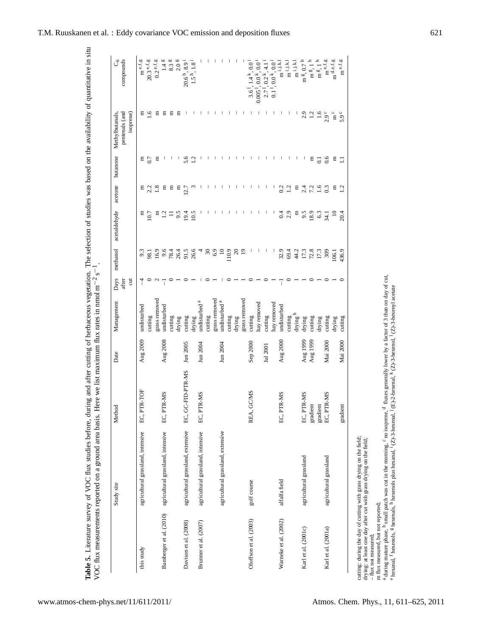| į<br>į<br>$-1$<br>$\ddot{\phantom{a}}$<br>2.7777772<br>י בתוך הוא דבת י<br><b>.</b><br>こうしょう こうこうこう<br>CONTRACTOR                                                                       | l                                                                                                                                     |
|-----------------------------------------------------------------------------------------------------------------------------------------------------------------------------------------|---------------------------------------------------------------------------------------------------------------------------------------|
| $\frac{4}{3}$<br>į<br>いきこう<br>.<br>$\frac{1}{2}$<br>o concrete e<br>three chinding hotos<br>The 5. Literarure survey of VOC flux studie<br>こくこ<br>֦֦֧֦֦֦֧֦֧֦֧֦֧֦֧֦֧֦֦֦֦֦֡֝֜֜֜֜֜֜֜֝<br>Ę | ۲<br>پا<br>I<br>was an an an an an<br>-<br>-<br>-<br>-<br>j<br>C<br>C<br>C<br>C<br><b>IC CONCRETENTIONS CONCRETE SERVICES</b><br>iCCI |

|                         | Study site                        | Method                 | Date       | Management                         | Days<br>after<br>$\overline{a}$ | methanol            | acetaldehyde    | acetone         | butanone       | pentenals (and<br>Methylbutanals,<br>isoprene) | compounds<br>ರೆ                                      |
|-------------------------|-----------------------------------|------------------------|------------|------------------------------------|---------------------------------|---------------------|-----------------|-----------------|----------------|------------------------------------------------|------------------------------------------------------|
| this study              | agricultural grassland, intensive | EC, PTR-TOF            | Aug 2009   | undisturbed                        |                                 | 9.3                 | Ξ               | Ξ               | Ξ              | Ξ                                              | m $^{\rm e.f.g}$                                     |
|                         |                                   |                        |            | cutting                            |                                 | 98.1                | 10.7            | 2.2             | 0.7            | ڥ                                              | $20.3$ $^{\rm e,f,g}$                                |
|                         |                                   |                        |            | grass removed                      | $\mathbf{c}$                    | 16.9                | Ξ               | $\frac{8}{18}$  | Ξ              | Ξ                                              | $0.2$ e.f.g                                          |
| Bamberger et al. (2010) | agricultural grassland, intensive | EC, PTR-MS             | Aug $2008$ | undisturbed                        |                                 | 9.6<br>78.4<br>26.4 | $\frac{12}{11}$ | Ξ               |                | Ξ                                              | 1.4 <sup>g</sup>                                     |
|                         |                                   |                        |            | cutting                            |                                 |                     |                 | Ξ               |                | Ξ                                              | 8.3 <sup>g</sup>                                     |
|                         |                                   |                        |            | drying                             |                                 |                     | 9.5             | Ξ               |                | Ξ                                              | 2.0 <sup>g</sup>                                     |
| Davison et al. (2008)   | agricultural grassland, extensive | EC, GC-FID-PTR-MS      | Jun 2005   | cutting                            |                                 | 91.5<br>26.6        | 19.4            | 12.7            | 5.6            |                                                | $20.6h, 8.9i$<br>1.5 <sup>h</sup> , 1.8 <sup>i</sup> |
|                         |                                   |                        |            | drying                             |                                 |                     | 10.5            |                 | $\bar{c}$      |                                                |                                                      |
| Brunner et al. (2007)   | agricultural grassland, intensive | EC, PTR-MS             | Jun 2004   | mdisturbed <sup>a</sup>            |                                 |                     |                 |                 |                |                                                |                                                      |
|                         |                                   |                        |            | cutting                            |                                 | S.                  |                 |                 |                |                                                |                                                      |
|                         |                                   |                        |            | grass removed                      |                                 | 6.9                 |                 |                 |                |                                                |                                                      |
|                         | agricultural grassland, extensive |                        | Jun 2004   | undisturbed <sup>a</sup>           |                                 | $\overline{10}$     |                 |                 |                |                                                |                                                      |
|                         |                                   |                        |            | cutting                            |                                 | 110.9               |                 |                 |                |                                                |                                                      |
|                         |                                   |                        |            | drying                             |                                 | ຊ                   |                 |                 |                |                                                |                                                      |
|                         |                                   |                        |            | grass removed                      |                                 | $\overline{9}$      |                 |                 |                |                                                |                                                      |
| Oloffson et al. (2003)  | golf course                       | REA, GC/MS             | Sep 2000   | cutting                            |                                 |                     |                 |                 |                |                                                | $3.6^{1}, 1.4^{k}, 0.0^{i}$                          |
|                         |                                   |                        |            | nay removed                        |                                 |                     |                 |                 |                |                                                | $0.005^{1}, 0.0^{k}, 0.0$                            |
|                         |                                   |                        | Jul 2001   | cutting                            |                                 |                     |                 |                 |                |                                                | $2.7^{1}, 0.2^{k}, 4.1$                              |
|                         |                                   |                        |            | hay removed                        |                                 |                     |                 |                 |                |                                                | $1,0.0^{k},0.0$<br>$\overline{0}$                    |
| Warneke et al. (2002)   | alfalfa field                     | EC, PTR-MS             | Aug 2000   | undisturbed                        |                                 | 32.9                | 0.4             | 0.2             |                |                                                | $\mathbf{m}^{i,j,k,1}$                               |
|                         |                                   |                        |            |                                    |                                 | 69.4                | 2.9             | 1.2             |                |                                                | $m^{i,j,k,l}$                                        |
|                         |                                   |                        |            | $\frac{1}{2}$ drying $\frac{1}{2}$ |                                 | 44.2                | Ξ               | Ξ               |                |                                                | $m^{i,j,k,1}$                                        |
| Karl et al. (2001c)     | agricultural grassland            | EC, PTR-MS             | Aug 1999   | drying                             |                                 | 17.3                | 9.5             | 2.4             |                | 2.9                                            | m $\frac{g}{r}$ , 0.7                                |
|                         |                                   | gradient               | Aug 1999   | cutting                            |                                 | 72.8                | 18.9            | 72              | Ξ              | $\frac{1}{2}$                                  | m <sup>g</sup> , 1                                   |
|                         |                                   |                        |            | drying                             |                                 | 17.3                | 6.3             | $\frac{6}{1}$   | $\overline{c}$ | $\frac{6}{1}$                                  | $mg$ , 1                                             |
| Karl et al. (2001a)     | agricultural grassland            | gradient<br>EC, PTR-MS | Mai 2000   | cutting                            |                                 | 309                 | $-34.1$         | 0.3             | 0.6            | $2.9^{\circ}$                                  | m $^{\rm e,f,g}$                                     |
|                         |                                   |                        |            | drying                             |                                 | 106.1               | $\approx$       | 日               | Е              | $\ln c$                                        | $\mathbf{m}^{\mathrm{d,e,f,g}}$                      |
|                         |                                   | gradient               | Mai 2000   | cutting                            |                                 | 436.9               | 20.4            | $\overline{12}$ | $\Xi$          | $5.9^{\circ}$                                  | m $^{\rm e,f,g}$                                     |

cutting: during the day of cutting with grass drying on the field; drying: at least one day after cut with grass drying on the field;

<sup>–</sup> flux not measured; m flux measured, but not reported;

a during mature phase, b small patch was cut in the morning, c no isoprene, ≂  $\alpha$  fluxes generally lower by a factor of 3 than on day of cut,

e hexanal, f hexenols, g hexenals, h hexenols plus hexanal, i $(2)$ -3-hexenal, j (E)-2-hexenal, k $K(Z)$ -3-hexenol, (Z)-3-hexenyl acetate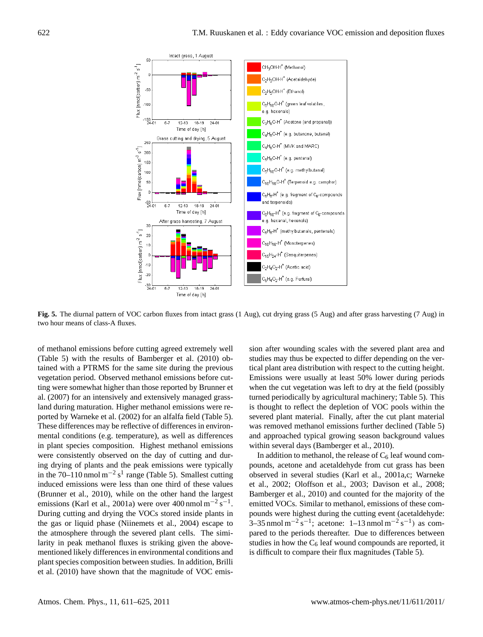

Fig. 5. The diurnal pattern of VOC carbon fluxes from intact grass (1 Aug), cut drying grass (5 Aug) and after grass harvesting (7 Aug) in  $2 - A$  fluxes. two hour means of class-A fluxes.

of methanol emissions before cutting agreed extremely well (Table 5) with the results of Bamberger et al. (2010) obtained with a PTRMS for the same site during the previous vegetation period. Observed methanol emissions before cutting were somewhat higher than those reported by Brunner et al. (2007) for an intensively and extensively managed grassland during maturation. Higher methanol emissions were reported by Warneke et al. (2002) for an alfalfa field (Table 5). These differences may be reflective of differences in environmental conditions (e.g. temperature), as well as differences in plant species composition. Highest methanol emissions were consistently observed on the day of cutting and during drying of plants and the peak emissions were typically in the  $70-110$  nmol m<sup>-2</sup> s<sup>1</sup> range (Table 5). Smallest cutting induced emissions were less than one third of these values (Brunner et al., 2010), while on the other hand the largest emissions (Karl et al., 2001a) were over 400 nmol m<sup>-2</sup> s<sup>-1</sup>. During cutting and drying the VOCs stored inside plants in the gas or liquid phase (Niinemets et al., 2004) escape to the atmosphere through the severed plant cells. The similarity in peak methanol fluxes is striking given the abovementioned likely differences in environmental conditions and plant species composition between studies. In addition, Brilli et al. (2010) have shown that the magnitude of VOC emission after wounding scales with the severed plant area and studies may thus be expected to differ depending on the vertical plant area distribution with respect to the cutting height. Emissions were usually at least 50% lower during periods when the cut vegetation was left to dry at the field (possibly turned periodically by agricultural machinery; Table 5). This is thought to reflect the depletion of VOC pools within the severed plant material. Finally, after the cut plant material was removed methanol emissions further declined (Table 5) and approached typical growing season background values within several days (Bamberger et al., 2010).

In addition to methanol, the release of  $C_6$  leaf wound compounds, acetone and acetaldehyde from cut grass has been observed in several studies (Karl et al., 2001a,c; Warneke et al., 2002; Oloffson et al., 2003; Davison et al., 2008; Bamberger et al., 2010) and counted for the majority of the emitted VOCs. Similar to methanol, emissions of these compounds were highest during the cutting event (acetaldehyde:  $3-35$  nmol m<sup>-2</sup> s<sup>-1</sup>; acetone: 1–13 nmol m<sup>-2</sup> s<sup>-1</sup>) as compared to the periods thereafter. Due to differences between studies in how the  $C_6$  leaf wound compounds are reported, it is difficult to compare their flux magnitudes (Table 5).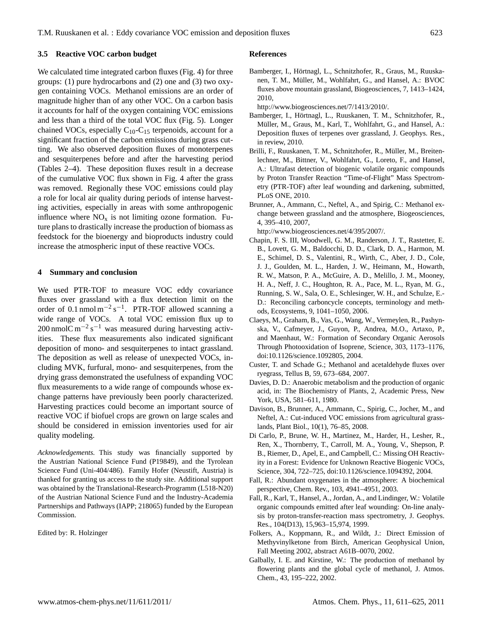## **3.5 Reactive VOC carbon budget**

We calculated time integrated carbon fluxes (Fig. 4) for three groups: (1) pure hydrocarbons and (2) one and (3) two oxygen containing VOCs. Methanol emissions are an order of magnitude higher than of any other VOC. On a carbon basis it accounts for half of the oxygen containing VOC emissions and less than a third of the total VOC flux (Fig. 5). Longer chained VOCs, especially  $C_{10}$ -C<sub>15</sub> terpenoids, account for a significant fraction of the carbon emissions during grass cutting. We also observed deposition fluxes of monoterpenes and sesquiterpenes before and after the harvesting period (Tables 2–4). These deposition fluxes result in a decrease of the cumulative VOC flux shown in Fig. 4 after the grass was removed. Regionally these VOC emissions could play a role for local air quality during periods of intense harvesting activities, especially in areas with some anthropogenic influence where  $NO<sub>x</sub>$  is not limiting ozone formation. Future plans to drastically increase the production of biomass as feedstock for the bioenergy and bioproducts industry could increase the atmospheric input of these reactive VOCs.

## **4 Summary and conclusion**

We used PTR-TOF to measure VOC eddy covariance fluxes over grassland with a flux detection limit on the order of 0.1 nmol  $m^{-2} s^{-1}$ . PTR-TOF allowed scanning a wide range of VOCs. A total VOC emission flux up to 200 nmolC m<sup>-2</sup> s<sup>-1</sup> was measured during harvesting activities. These flux measurements also indicated significant deposition of mono- and sesquiterpenes to intact grassland. The deposition as well as release of unexpected VOCs, including MVK, furfural, mono- and sesquiterpenes, from the drying grass demonstrated the usefulness of expanding VOC flux measurements to a wide range of compounds whose exchange patterns have previously been poorly characterized. Harvesting practices could become an important source of reactive VOC if biofuel crops are grown on large scales and should be considered in emission inventories used for air quality modeling.

*Acknowledgements.* This study was financially supported by the Austrian National Science Fund (P19849), and the Tyrolean Science Fund (Uni-404/486). Family Hofer (Neustift, Austria) is thanked for granting us access to the study site. Additional support was obtained by the Translational-Research-Programm (L518-N20) of the Austrian National Science Fund and the Industry-Academia Partnerships and Pathways (IAPP; 218065) funded by the European Commission.

Edited by: R. Holzinger

#### **References**

Bamberger, I., Hörtnagl, L., Schnitzhofer, R., Graus, M., Ruuskanen, T. M., Müller, M., Wohlfahrt, G., and Hansel, A.: BVOC fluxes above mountain grassland, Biogeosciences, 7, 1413–1424, 2010,

[http://www.biogeosciences.net/7/1413/2010/.](http://www.biogeosciences.net/7/1413/2010/)

- Bamberger, I., Hortnagl, L., Ruuskanen, T. M., Schnitzhofer, R., ¨ Muller, M., Graus, M., Karl, T., Wohlfahrt, G., and Hansel, A.: ¨ Deposition fluxes of terpenes over grassland, J. Geophys. Res., in review, 2010.
- Brilli, F., Ruuskanen, T. M., Schnitzhofer, R., Müller, M., Breitenlechner, M., Bittner, V., Wohlfahrt, G., Loreto, F., and Hansel, A.: Ultrafast detection of biogenic volatile organic compounds by Proton Transfer Reaction "Time-of-Flight" Mass Spectrometry (PTR-TOF) after leaf wounding and darkening, submitted, PLoS ONE, 2010.
- Brunner, A., Ammann, C., Neftel, A., and Spirig, C.: Methanol exchange between grassland and the atmosphere, Biogeosciences, 4, 395–410, 2007,

[http://www.biogeosciences.net/4/395/2007/.](http://www.biogeosciences.net/4/395/2007/)

- Chapin, F. S. III, Woodwell, G. M., Randerson, J. T., Rastetter, E. B., Lovett, G. M., Baldocchi, D. D., Clark, D. A., Harmon, M. E., Schimel, D. S., Valentini, R., Wirth, C., Aber, J. D., Cole, J. J., Goulden, M. L., Harden, J. W., Heimann, M., Howarth, R. W., Matson, P. A., McGuire, A. D., Melillo, J. M., Mooney, H. A., Neff, J. C., Houghton, R. A., Pace, M. L., Ryan, M. G., Running, S. W., Sala, O. E., Schlesinger, W. H., and Schulze, E.- D.: Reconciling carboncycle concepts, terminology and methods, Ecosystems, 9, 1041–1050, 2006.
- Claeys, M., Graham, B., Vas, G., Wang, W., Vermeylen, R., Pashynska, V., Cafmeyer, J., Guyon, P., Andrea, M.O., Artaxo, P., and Maenhaut, W.: Formation of Secondary Organic Aerosols Through Photooxidation of Isoprene, Science, 303, 1173–1176, doi:10.1126/science.1092805, 2004.
- Custer, T. and Schade G.; Methanol and acetaldehyde fluxes over ryegrass, Tellus B, 59, 673–684, 2007.
- Davies, D. D.: Anaerobic metabolism and the production of organic acid, in: The Biochemistry of Plants, 2, Academic Press, New York, USA, 581–611, 1980.
- Davison, B., Brunner, A., Ammann, C., Spirig, C., Jocher, M., and Neftel, A.: Cut-induced VOC emissions from agricultural grasslands, Plant Biol., 10(1), 76–85, 2008.
- Di Carlo, P., Brune, W. H., Martinez, M., Harder, H., Lesher, R., Ren, X., Thornberry, T., Carroll, M. A., Young, V., Shepson, P. B., Riemer, D., Apel, E., and Campbell, C.: Missing OH Reactivity in a Forest: Evidence for Unknown Reactive Biogenic VOCs, Science, 304, 722–725, doi:10.1126/science.1094392, 2004.
- Fall, R.: Abundant oxygenates in the atmosphere: A biochemical perspective, Chem. Rev., 103, 4941–4951, 2003.
- Fall, R., Karl, T., Hansel, A., Jordan, A., and Lindinger, W.: Volatile organic compounds emitted after leaf wounding: On-line analysis by proton-transfer-reaction mass spectrometry, J. Geophys. Res., 104(D13), 15,963–15,974, 1999.
- Folkers, A., Koppmann, R., and Wildt, J.: Direct Emission of Methyvinylketone from Birch, American Geophysical Union, Fall Meeting 2002, abstract A61B–0070, 2002.
- Galbally, I. E. and Kirstine, W.: The production of methanol by flowering plants and the global cycle of methanol, J. Atmos. Chem., 43, 195–222, 2002.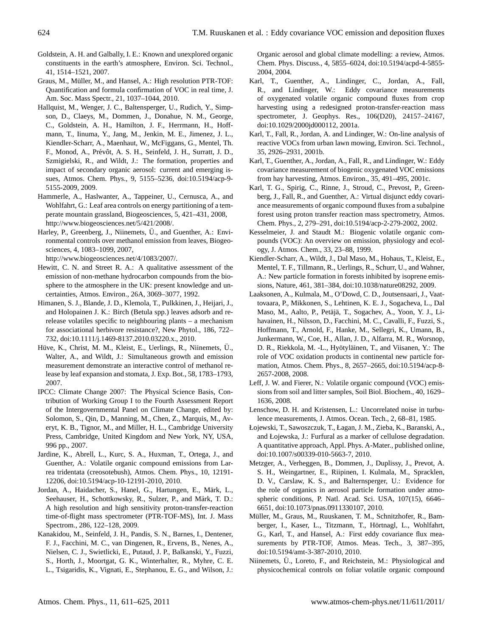- Goldstein, A. H. and Galbally, I. E.: Known and unexplored organic constituents in the earth's atmosphere, Environ. Sci. Technol., 41, 1514–1521, 2007.
- Graus, M., Müller, M., and Hansel, A.: High resolution PTR-TOF: Quantification and formula confirmation of VOC in real time, J. Am. Soc. Mass Spectr., 21, 1037–1044, 2010.
- Hallquist, M., Wenger, J. C., Baltensperger, U., Rudich, Y., Simpson, D., Claeys, M., Dommen, J., Donahue, N. M., George, C., Goldstein, A. H., Hamilton, J. F., Herrmann, H., Hoffmann, T., Iinuma, Y., Jang, M., Jenkin, M. E., Jimenez, J. L., Kiendler-Scharr, A., Maenhaut, W., McFiggans, G., Mentel, Th. F., Monod, A., Prévôt, A. S. H., Seinfeld, J. H., Surratt, J. D., Szmigielski, R., and Wildt, J.: The formation, properties and impact of secondary organic aerosol: current and emerging issues, Atmos. Chem. Phys., 9, 5155–5236, doi:10.5194/acp-9- 5155-2009, 2009.
- Hammerle, A., Haslwanter, A., Tappeiner, U., Cernusca, A., and Wohlfahrt, G.: Leaf area controls on energy partitioning of a temperate mountain grassland, Biogeosciences, 5, 421–431, 2008, [http://www.biogeosciences.net/5/421/2008/.](http://www.biogeosciences.net/5/421/2008/)
- Harley, P., Greenberg, J., Niinemets, Ü., and Guenther, A.: Environmental controls over methanol emission from leaves, Biogeosciences, 4, 1083–1099, 2007,

[http://www.biogeosciences.net/4/1083/2007/.](http://www.biogeosciences.net/4/1083/2007/)

- Hewitt, C. N. and Street R. A.: A qualitative assessment of the emission of non-methane hydrocarbon compounds from the biosphere to the atmosphere in the UK: present knowledge and uncertainties, Atmos. Environ., 26A, 3069–3077, 1992.
- Himanen, S. J., Blande, J. D., Klemola, T., Pulkkinen, J., Heijari, J., and Holopainen J. K.: Birch (Betula spp.) leaves adsorb and rerelease volatiles specific to neighbouring plants – a mechanism for associational herbivore resistance?, New Phytol., 186, 722– 732, doi:10.1111/j.1469-8137.2010.03220.x., 2010.
- Hüve, K., Christ, M. M., Kleist, E., Uerlings, R., Niinemets, U., Walter, A., and Wildt, J.: Simultaneous growth and emission measurement demonstrate an interactive control of methanol release by leaf expansion and stomata, J. Exp. Bot., 58, 1783–1793, 2007.
- IPCC: Climate Change 2007: The Physical Science Basis, Contribution of Working Group I to the Fourth Assessment Report of the Intergovernmental Panel on Climate Change, edited by: Solomon, S., Qin, D., Manning, M., Chen, Z., Marquis, M., Averyt, K. B., Tignor, M., and Miller, H. L., Cambridge University Press, Cambridge, United Kingdom and New York, NY, USA, 996 pp., 2007.
- Jardine, K., Abrell, L., Kurc, S. A., Huxman, T., Ortega, J., and Guenther, A.: Volatile organic compound emissions from Larrea tridentata (creosotebush), Atmos. Chem. Phys., 10, 12191- 12206, doi:10.5194/acp-10-12191-2010, 2010.
- Jordan, A., Haidacher, S., Hanel, G., Hartungen, E., Märk, L., Seehauser, H., Schottkowsky, R., Sulzer, P., and Märk, T. D.: A high resolution and high sensitivity proton-transfer-reaction time-of-flight mass spectrometer (PTR-TOF-MS), Int. J. Mass Spectrom., 286, 122–128, 2009.
- Kanakidou, M., Seinfeld, J. H., Pandis, S. N., Barnes, I., Dentener, F. J., Facchini, M. C., van Dingenen, R., Ervens, B., Nenes, A., Nielsen, C. J., Swietlicki, E., Putaud, J. P., Balkanski, Y., Fuzzi, S., Horth, J., Moortgat, G. K., Winterhalter, R., Myhre, C. E. L., Tsigaridis, K., Vignati, E., Stephanou, E. G., and Wilson, J.:

Organic aerosol and global climate modelling: a review, Atmos. Chem. Phys. Discuss., 4, 5855–6024, doi:10.5194/acpd-4-5855- 2004, 2004.

- Karl, T., Guenther, A., Lindinger, C., Jordan, A., Fall, R., and Lindinger, W.: Eddy covariance measurements of oxygenated volatile organic compound fluxes from crop harvesting using a redesigned proton-transfer-reaction mass spectrometer, J. Geophys. Res., 106(D20), 24157–24167, doi:10.1029/2000jd000112, 2001a.
- Karl, T., Fall, R., Jordan, A. and Lindinger, W.: On-line analysis of reactive VOCs from urban lawn mowing, Environ. Sci. Technol., 35, 2926–2931, 2001b.
- Karl, T., Guenther, A., Jordan, A., Fall, R., and Lindinger, W.: Eddy covariance measurement of biogenic oxygenated VOC emissions from hay harvesting, Atmos. Environ., 35, 491–495, 2001c.
- Karl, T. G., Spirig, C., Rinne, J., Stroud, C., Prevost, P., Greenberg, J., Fall, R., and Guenther, A.: Virtual disjunct eddy covariance measurements of organic compound fluxes from a subalpine forest using proton transfer reaction mass spectrometry, Atmos. Chem. Phys., 2, 279–291, doi:10.5194/acp-2-279-2002, 2002.
- Kesselmeier, J. and Staudt M.: Biogenic volatile organic compounds (VOC): An overview on emission, physiology and ecology, J. Atmos. Chem., 33, 23–88, 1999.
- Kiendler-Scharr, A., Wildt, J., Dal Maso, M., Hohaus, T., Kleist, E., Mentel, T. F., Tillmann, R., Uerlings, R., Schurr, U., and Wahner, A.: New particle formation in forests inhibited by isoprene emissions, Nature, 461, 381–384, doi:10.1038/nature08292, 2009.
- Laaksonen, A., Kulmala, M., O'Dowd, C. D., Joutsensaari, J., Vaattovaara, P., Mikkonen, S., Lehtinen, K. E. J., Sogacheva, L., Dal Maso, M., Aalto, P., Petäjä, T., Sogachev, A., Yoon, Y. J., Lihavainen, H., Nilsson, D., Facchini, M. C., Cavalli, F., Fuzzi, S., Hoffmann, T., Arnold, F., Hanke, M., Sellegri, K., Umann, B., Junkermann, W., Coe, H., Allan, J. D., Alfarra, M. R., Worsnop, D. R., Riekkola, M. -L., Hyötyläinen, T., and Viisanen, Y.: The role of VOC oxidation products in continental new particle formation, Atmos. Chem. Phys., 8, 2657–2665, doi:10.5194/acp-8- 2657-2008, 2008.
- Leff, J. W. and Fierer, N.: Volatile organic compound (VOC) emissions from soil and litter samples, Soil Biol. Biochem., 40, 1629– 1636, 2008.
- Lenschow, D. H. and Kristensen, L.: Uncorrelated noise in turbulence measurements, J. Atmos. Ocean. Tech., 2, 68–81, 1985.
- Łojewski, T., Sawoszczuk, T., Łagan, J. M., Zieba, K., Baranski, A., and Łojewska, J.: Furfural as a marker of cellulose degradation. A quantitative approach, Appl. Phys. A-Mater., published online, doi:10.1007/s00339-010-5663-7, 2010.
- Metzger, A., Verheggen, B., Dommen, J., Duplissy, J., Prevot, A. S. H., Weingartner, E., Riipinen, I. Kulmala, M., Spracklen, D. V., Carslaw, K. S., and Balternsperger, U.: Evidence for the role of organics in aerosol particle formation under atmospheric conditions, P. Natl. Acad. Sci. USA, 107(15), 6646– 6651, doi:10.1073/pnas.0911330107, 2010.
- Müller, M., Graus, M., Ruuskanen, T. M., Schnitzhofer, R., Bamberger, I., Kaser, L., Titzmann, T., Hörtnagl, L., Wohlfahrt, G., Karl, T., and Hansel, A.: First eddy covariance flux measurements by PTR-TOF, Atmos. Meas. Tech., 3, 387-395, doi:10.5194/amt-3-387-2010, 2010.
- Niinemets, Ü., Loreto, F., and Reichstein, M.: Physiological and physicochemical controls on foliar volatile organic compound